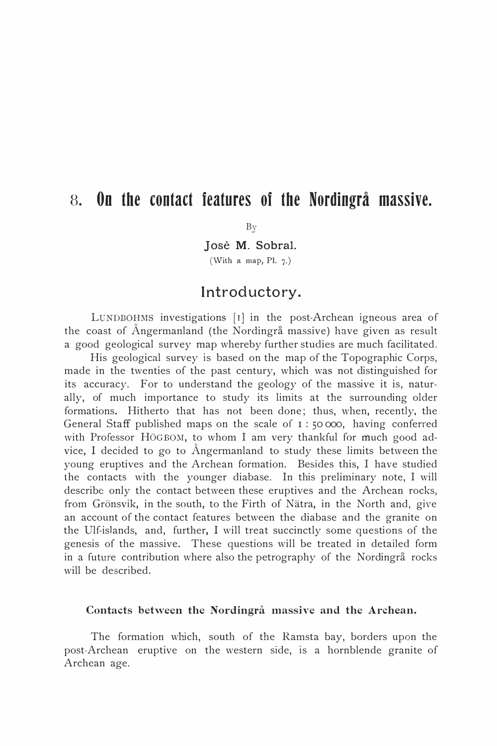# s. On the contact features of the Nordingrå massive.

**B**y

José M. Sobral. (With a map, PI. 7-)

## Introductory.

LUNDBOHMS investigations [r] in the post-Archean igneous area of the coast of Ångermanland (the Nordingrå massive) have given as result a good geological survey map whereby further studies are much facilitated.

His geological survey is based on the map of the Topographic Corps, made in the twenties of the past century, which was not distinguished for its accuracy. For to understand the geology of the massive it is, naturally, of much importance to study its limits at the surrounding older formations. Hitherto that has not been done; thus, when, recently, the General Staff published maps on the scale of  $1:50000$ , having conferred with Professor HÖGBOM, to whom I am very thankful for much good advice, I decided to go to Ångermanland to study these limits between the young eruptives and the Archean formation. Besides this, I have studied the contacts with the younger diabase. In this preliminary note, I will describe only the contact between these eruptives and the Archean rocks, from Grönsvik, in the south, to the Firth of Nätra, in the North and, give an account of the contact features between the diabase and the granite on the Ulf-islands, and, further, I will treat succinctly some questions of the genesis of the massive. These questions will be treated in detailed form in a future contribution where also the petrography of the Nordingrå rocks will be described.

#### Contacts between the Nordingrå massive and the Archean.

The formation which, south of the Ramsta bay, borders upon the post-Archean eruptive on the western side, is a hornblende granite of Archean age.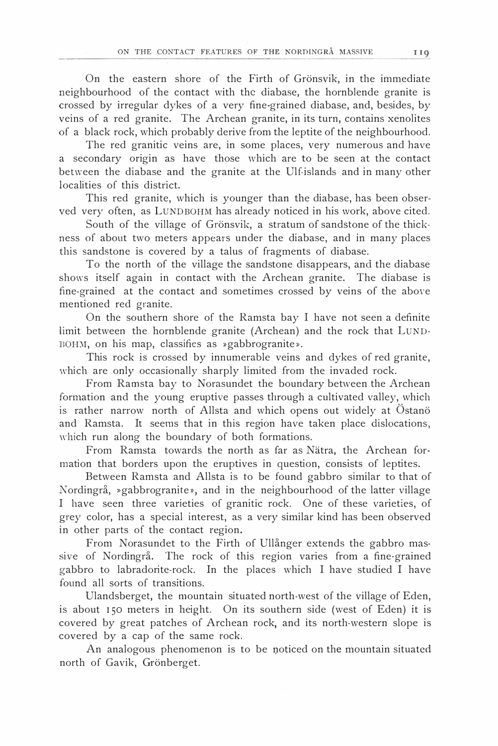On the eastern shore of the Firth of Grönsvik, in the immediate neighbourhood of the contact with the diabase, the hornblende granite is erossed by irregular dykes of a very fine-grained diabase, and, besides, by veins of a red granite. The Archean granite, in its turn, contains xenolites of a black rock, which probably derive from the leptite of the neighbourhood.

The red granitic veins are, in some places, very numerous and have a secondary origin as have those which are to be seen at the contact between the diabase and the granite at the Ulf.islands and in many other localities of this district.

This red granite, which is younger than the diabase, has been observed very often, as LUNDBOHM has already noticed in his work, above cited.

South of the village of Grönsvik, a stratum of sandstone of the thickness of about two meters appears under the diabase, and in many places this sandstone is covered by a talus of fragments of diabase.

To the north of the village the sandstone disappears, and the diabase shows itself again in contact with the Archean granite. The diabase is fine-grained at the contact and sometimes crossed by veins of the above mentioned red granite.

On the southern shore of the Ramsta bay I have not seen a definite limit between the hornblende granite (Archean) and the rock that LUND-BOHM, on his map, classifies as »gabbrogranite».

This rock is erossed by innumerable veins and dykes of red granite, which are only occasionally sharply limited from the invaded rock.

From Ramsta bay to Norasundet the boundary between the Archean formation and the young eruptive passes through a cultivated valley, which is rather narrow north of Allsta and which opens out widely at Östanö and Ramsta. It seems that in this region have taken place dislocations, which run along the boundary of both formations.

From Ramsta towards the north as far as Nätra, the Archean formation that borders upon the eruptives in question, consists of leptites.

Between Ramsta and Allsta is to be found gabbro similar to that of Nordingrå, »gabbrogranite», and in the neighbourhood of the latter village I have seen three varieties of granitic rock. One of these varieties, of grey color, has a special interest, as a very similar kind has been observed in other parts of the contact region.

From Norasundet to the Firth of Ullånger extends the gabbro massive of Nordingrå. The rock of this region varies from a fine-grained gabbro to labradorite-rock. In the places which I have studied I have found all sorts of transitions.

Ulandsberget, the mountain situated north-west of the village of Eden, is about 150 meters in height. On its southern side (west of Eden) it is covered by great patches of Archean rock, and its north-western slope is covered by a cap of the same rock.

An analogous phenomenon is to be noticed on the mountain situatcd north of Gavik, Grönberget.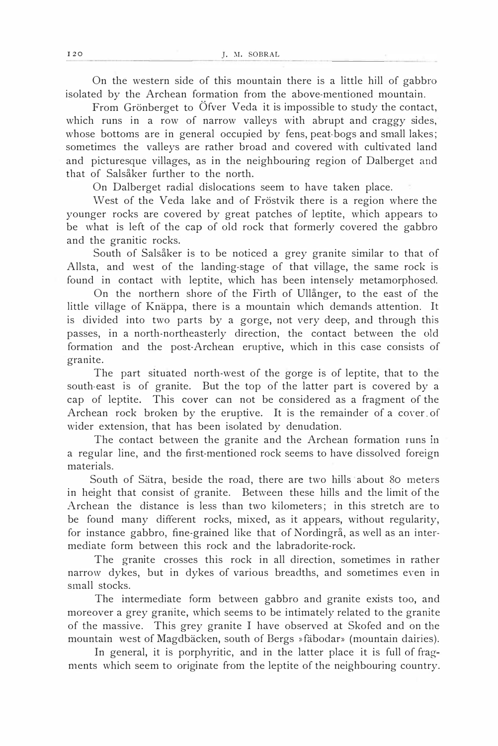On the western side of this mountain there is a little bill of gabbro isolated by the Archean formation from the above-mentioned mountain.

From Grönberget to Öfver Veda it is impossible to study the contact, which runs in a row of narrow valleys with abrupt and craggy sides, whose bottoms are in general occupied by fens, peat-bogs and small lakes; sometimes the valleys are rather broad and covered with cultivated land and picturesque villages, as in the neighbouring region of Dalberget and that of Salsåker further to the north.

On Dalberget radial dislocations seem to have taken place.

West of the Veda lake and of Fröstvik there is a region where the younger rocks are covered by great patches of leptite, which appears to be what is left of the cap of old rock that formerly covered the gabbro and the granitic rocks.

South of Salsåker is to be noticed a grey granite similar to that of Allsta, and west of the landing-stage of that village, the same rock is found in contact with leptite, which has been intensely metamorphosed.

On the northern shore of the Firth of Ullånger, to the east of the little village of Knäppa, there is a mountain which demands attention. It is divided into two parts by a gorge, not very deep, and through this passes, in a north-northeasterly direction, the contact between the old formation and the post-Archean eruptive, which in this case consists of granite.

The part situated north-west of the gorge is of leptite, that to the south-east is of granite. But the top of the latter part is covered by a cap of leptite. This cover can not be considered as a fragment of the Archean rock broken by the eruptive. It is the remainder of a cover of wider extension, that has been isolated by denudation.

The contact between the granite and the Archean formation runs in a regular Iine, and the first-mentioned rock seems to have dissolved foreign materials.

South of Sätra, beside the road, there are two bills about 80 meters in height that consist of granite. Between these hills and the limit of the Archean the distance is less than two kilometers; in this stretch are to be found many different rocks, mixed, as it appears, without regularity, for instance gabbro, fine-grained like that of Nordingrå, as well as an intermediate form between this rock and the labradorite-rock.

The granite erosses this rock in all direction, sometimes in rather narrow dykes, but in dykes of various breadths, and sometimes even in small stocks.

The intermediate form between gabbro and granite exists too, and moreover a grey granite, which seems to be intimately related to the granite of the massive. This grey granite I have observed at Skofed and on the mountain west of Magdbäcken, south of Bergs »fäbodar» (mountain dairies).

In general, it is porphyritic, and in the latter place it is full of fragments which seem to originate from the leptite of the neighbouring country.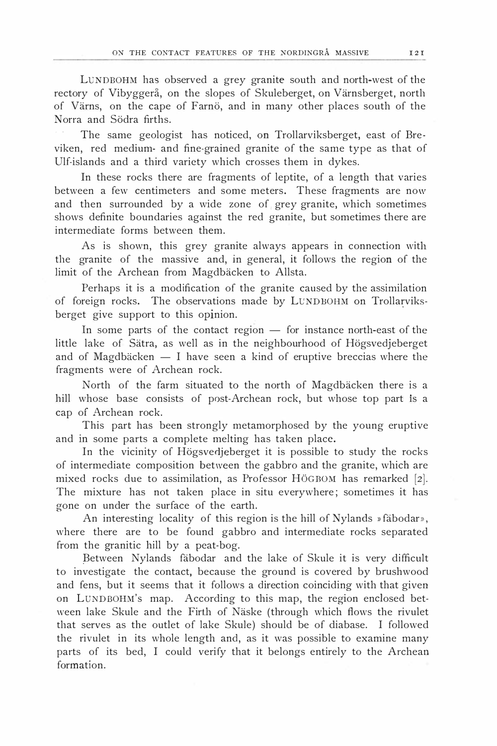LUNDBOHM has observed a grey granite south and north-west of the rectory of Vibyggerå, on the slopes of Skuleberget, on Värnsberget, north of Värns, on the cape of Farnö, and in many other places south of the Norra and Södra firths.

The same geologist has noticed, on Trollarviksberget, east of Breviken, red medium- and fine-grained granite of the same type as that of Ulf-islands and a third variety which erosses them in dykes.

In these rocks there are fragments of leptite, of a length that varies between a few centimeters and some meters. These fragments are now and then surrounded by a wide zone of grey granite, which sometimes shows definite boundaries against the red granite, but sometimes there are intermediate forms between them.

As is shown, this grey granite always appears in connection with the granite of the massive and, in general, it follows the region of the limit of the Archean from Magdbäcken to Allsta.

Perhaps it is a modification of the granite eaused by the assimilation of foreign rocks. The observations made by LUNDBOHM on Trollarviksberget give support to this opinion.

In some parts of the contact region  $-$  for instance north-east of the little lake of Sätra, as weil as in the neighbourhood of Högsvedjeberget and of Magdbäcken  $- I$  have seen a kind of eruptive breccias where the fragments were of Archean rock.

North of the farm situated to the north of Magdbäcken there is a hill whose base consists of post-Archean rock, but whose top part is a cap of Archean rock.

This part has been strongly metamorphosed by the young eruptive and in some parts a complete melting has taken place.

In the vicinity of Högsvedjeberget it is possible to study the rocks of intermediate composition between the gabbro and the granite, which are mixed rocks due to assimilation, as Professor HÖGBOM has remarked [2]. The mixture has not taken place in situ everywhere; sometimes it has gone on under the surface of the earth.

An interesting locality of this region is the hill of Nylands »fäbodar», where there are to be found gabbro and intermediate rocks separated from the granitic bill by a peat-bog.

Between Nylands fäbodar and the lake of Skule it is very difficult to investigate the contact, because the ground is covered by brushwood and fens, but it seems that it follows a direction coinciding with that given on LUNDBOHM's map. According to this map, the region endosed between lake Skule and the Firth of Näske (through which flows the rivulet that serves as the outlet of lake Skule) should be of diabase. I followed the rivulet in its whole length and, as it was possible to examine many parts of its bed, I could verify that it belongs entirely to the Archean formation.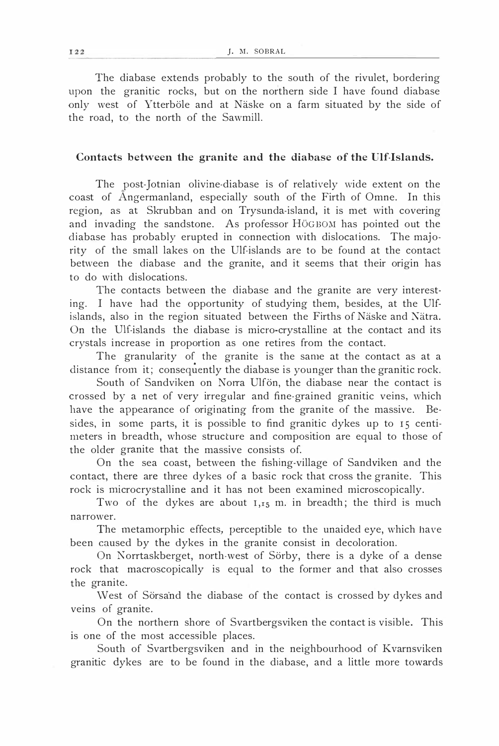The diabase extends probably to the south of the rivulet, bordering upon the granitic rocks, but on the northern side I have found diabase only west of Ytterböle and at Näske on a farm situated by the side of the road, to the north of the Sawmill.

#### Contacts between the granite and the diabase of the Ulf-Islands.

The post-Jotnian olivine-diabase is of relatively wide extent on the coast of Ångermanland, especially south of the Firth of Omne. In this region, as at Skrubban and on Trysunda-island, it is met with covering and invading the sandstone. As professor HöGBOM has pointed out the diabase has probably erupted in connection with dislocations. The majo· rity of the small lakes on the Ulf-islands are to be found at the contact between the diabase and the granite, and it seems that their origin has to do with dislocations.

The contacts between the diabase and the granite are very interesting. I have bad the opportunity of studying them, besides, at the Ulfislands, also in the region situated between the Firths of Näske and Nätra. On the Ulf-islands the diabase is micro-crystalline at the contact and its crystals increase in proportion as one retires from the contact.

The granularity of the granite is the same at the contact as at a distance from it; consequently the diabase is younger than the granitic rock.

South of Sandviken on Norra Ulfön, the diabase near the contact is crossed by a net of very irregular and fine-grained granitic veins, which have the appearance of originating from the granite of the massive. Besides, in some parts, it is possible to find granitic dykes up to 15 centimeters in breadth, whose structure and composition are equal to those of the older granite that the massive consists of.

On the sea coast, between the fishing-village of Sandviken and the contact, there are three dykes of a basic rock that cross the granite. This rock is microcrystalline and it has not been examined microscopically.

Two of the dykes are about  $I_{1,15}$  m. in breadth; the third is much narrower.

The metamorphic effects, perceptible to the unaided eye, which have been eaused by the dykes in the granite consist in decoloration.

On Norrtaskberget, north-west of Sörby, there is a dyke of a dense rock that macroscopically is equal to the former and that also erosses the granite.

West of Sörsand the diabase of the contact is crossed by dykes and veins of granite.

On the northern shore of Svartbergsviken the contact is visible. This is one of the most accessible places.

South of Svartbergsviken and in the neighbourhood of Kvarnsviken granitic dykes are to be found in the diabase, and a little more towards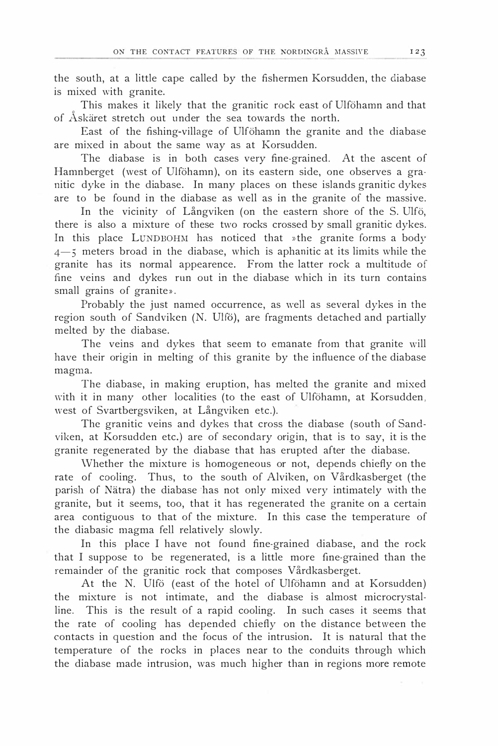the south, at a little cape called by the fishermen Korsudden, the diabase is mixed with granitc.

This makes it likely that the granitic rock east of Ulföhamn and that of Åskäret stretch out under the sea towards the north.

East of the fishing-village of Ulföhamn the granite and the diabase are mixed in about the same way as at Korsudden.

The diabase is in both cases very fine-grained. At the ascent of Hamnberget (west of Ulföhamn), on its eastern side, one observes a granitic dyke in the diabase. In many places on these islands granitic dykes are to be found in the diabase as weil as in the granite of the massive.

In the vicinity of Långviken (on the eastern shore of the S. Ulfö, there is also a mixture of these two rocks erossed by small granitic dykes. In this place LUNDBOHM has noticed that »the granite forms a body 4-5 meters broad in the diabase, which is aphanitic at its limits while the granite has its normal appearence. From the latter rock a multitude of fine veins and dykes run out in the diabase which in its turn contains small grains of granite».

Probably the just named occurrence, as well as several dykes in the region south of Sandviken (N. Ulfö), are fragments detached and partially melted by the diabase.

The veins and dykes that seem to emanate from that granite will have their origin in melting of this granite by the influence of the diabase magma.

The diabase, in making eruption, has melted the granite and mixed with it in many other localities (to the east of Ulföhamn, at Korsudden, west of Svartbergsviken, at Långviken etc.).

The granitic veins and dykes that cross the diabase (south of Sandviken, at Korsudden etc.) are of secondary origin, that is to say, it is the granite regenerated by the diabase that has erupted after the diabase.

\Vhether the mixture is homogeneous or not, depends chicfly on the rate of cooling. Thus, to the south of Alviken, on Vårdkasberget (the parish of Nätra) the diabase has not only mixed very intimately with the granite, hut it seems, too, that it has regenerated the granite on a certain area contiguous to that of the mixture. In this case the temperature of the diabasic magma fell relatively slowly.

In this place I have not found fine-grained diabase, and the rock that I suppose to be regenerated, is a little more fine-grained than the remainder of the granitic rock that composes Vårdkasberget.

At the N. Ulfö (east of the hotel of Ulföhamn and at Korsudden) the mixture is not intimate, and the diabase is almost microcrystalline. This is the result of a rapid cooling. In such cases it seems that the rate of cooling has depended chicfly on the distance between the contacts in question and the focus of the intrusion. It is natural that the temperature of the rocks in places near to the conduits through which the diabase made intrusion, was much higher than in regions more remote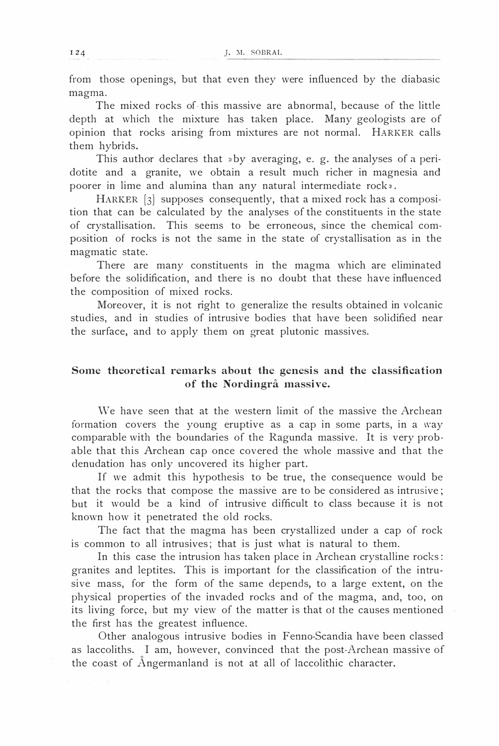from those openings, but that even they were influenced by the diabasic magma.

The mixed rocks of this massive are abnormal, because of the little depth at which the mixture has taken place. Many geologists are of opinion that rocks arising from mixtures are not normal. HARKER calls them hybrids.

This author declares that  $*$ by averaging, e. g. the analyses of a peridotite and a granite, we obtain a result much richer in magnesia and poorer in lime and alumina than any natural intermediate rock».

HARKER [3] supposes consequently, that a mixed rock has a composi· tion that can be calculated by the analyses of the constituents in the state of crystallisation. This seems to be erroneous, since the chemical composition of rocks is not the same in the state of crystallisation as in the magmatic state.

There are many constituents in the magma which are eliminated before the solidification, and there is no doubt that these have influenced the composition of mixed rocks.

Moreover, it is not right to generalize the results obtained in volcanic studies, and in studies of intrusive bodies that have been solidified near the surface, and to apply them on great plutonic massives.

### Some theoretical remarks about the genesis and the classification of the Nordingrå massive.

We have seen that at the western limit of the massive the Archean formation covers the young eruptive as a cap in some parts, in a way comparable with the boundaries of the Ragunda massive. It is very probable that this Archean cap once covered the whole massive and that the denudation has only uneovered its higher part.

If we admit this hypothesis to be true, the consequence would be that the rocks that compose the massive are to be considered as intrusive; but it would be a kind of intrusive difficult to dass because it is not known how it penetrated the old rocks.

The fact that the magma has been crystallized under a cap of rock is common to all intrusives; that is just what is natural to thern.

In this case the intrusion has taken place in Archean crystalline rocks: granites and leptites. This is important for the classification of the intrusive mass, for the form of the same depends, to a large extent, on the physical properties of the invaded rocks and of the magma, and, too, on its living force, but my view of the matter is that of the causes mentioned the first has the greatest influence.

Other analogous intrusive bodies in Fenno-Scandia have been classed as laccoliths. I am, however, convinced that the post-Archean massive of the coast of Ångermanland is not at all of laccolithic character.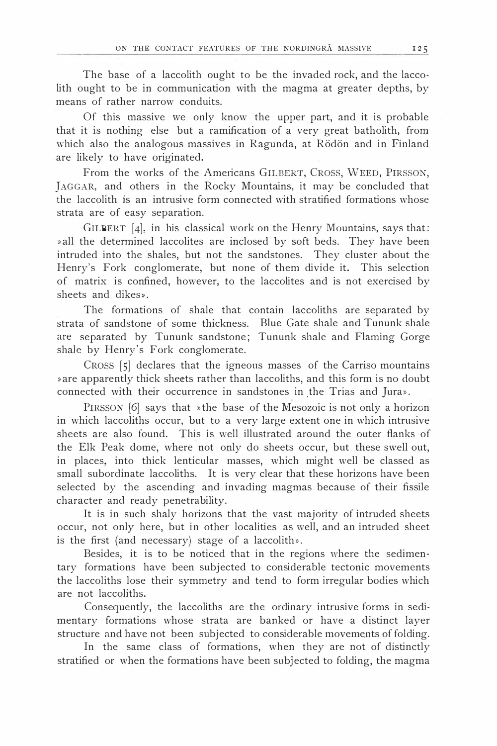The base of a laccolith ought to be the invaded rock, and the laccolith ought to be in communication with the magma at greater depths, by means of rather narrow conduits.

Of this massive we only know the upper part, and it is probable that it is notbing else but a ramification of a very great batholith, from which also the analogous massives in Ragunda, at Rödön and in Finland are Iikely to have originated.

From the works of the Americans GILBERT, CROSS, WEED, PIRSSON, ]AGGAR, and others in the Rocky Mountains, it may be concluded that the laccolith is an intrusive form connected with stratified formations whosc strata are of easy separation.

GILBERT  $[4]$ , in his classical work on the Henry Mountains, says that: »all the determined laccolites are inclosed by soft beds. They have been intruded into the shales, but not the sandstones. They cluster about the Henry's Fork conglomerate, but none of them divide it. This selection of matrix is confined, however, to the laccolites and is not exercised by sheets and dikes».

The formations of shale that contain laccoliths are separated by strata of sandstone of some thickness. Blue Gate shale and Tununk shale are separated by Tununk sandstone; Tununk shale and Fiaming Gorge shale by Henry's Fork conglomerate.

CRoss [5] declares that the igneous masses of the Carriso mountains »are apparently thick sheets rather than laccoliths, and this form is no doubt connected with their occurrence in sandstones in the Trias and Jura».

PIRSSON [6] says that »the base of the Mesozoic is not only a horizon in which laccoliths occur, but to a very large extent one in which intrusive sheets are also found. This is weil illustrated around the outer flanks of the Elk Peak dome, where not only do sheets occur, but these swell out, in places, into thick lenticular masses, which might weil be classed as small subordinate laccoliths. It is very clear that these horizons have been selected by the ascending and invading magmas because of their fissile character and ready penetrability.

It is in such shaly horizons that the vast majority of intruded sheets occur, not only here, but in other localities as weil, and an intruded sheet is the first (and necessary) stage of a laccolith».

Besides, it is to be noticed that in the regions where the sedimentary formations have been subjected to considerable tectonic movements the laccoliths lose their symmetry and tend to form irregular bodies which are not laccoliths.

Consequently, the laccoliths are the ordinary intrusive forms in sedimentary formations whose strata are banked or have a distinct layer structure and have not been subjected to considerable movements of folding.

In the same class of formations, when they are not of distinctly stratified or when the formations have been subjected to folding, the magma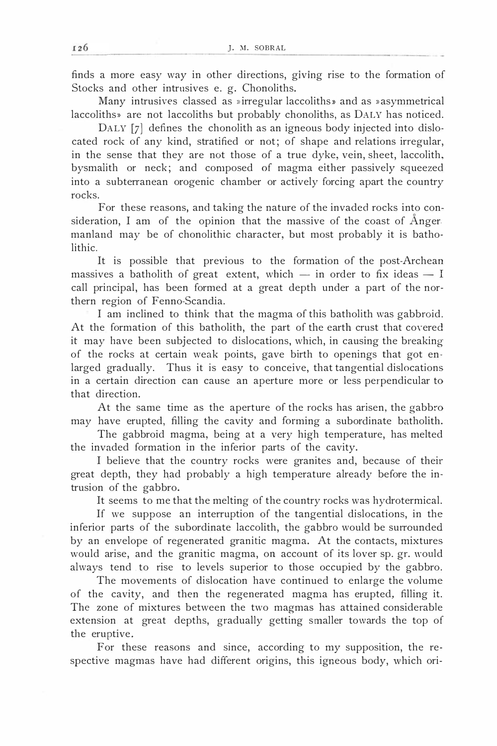finds a more easy way in other directions, giving rise to the formation of Stocks and other intrusives e. g. Chonoliths.

Many intrusives classed as »irregular laccoliths» and as »asymmetrical laccoliths» are not laccoliths hut probably chonoliths, as DALY has noticed.

DALY [7] defines the chonolith as an igneous body injected into dislocated rock of any kind, stratified or not; of shape and relations irregular, in the sense that they are not those of a true dyke, vein, sheet, laccolith, bysmalith or neck; and composed of magma either passively squeezed into a subterrancan orogenie chamber or actively forcing apart the country rocks.

For these reasons, and taking the nature of the invaded rocks into consideration, I am of the opinion that the massive of the coast of Ånger manland may be of chonolithic character, hut most probably it is batholithic.

It is possible that previous to the formation of the post-Archean massives a batholith of great extent, which  $-$  in order to fix ideas  $-$  I call principal, has been formed at a great depth under a part of the northern region of Fenno-Scandia.

I am inclined to think that the magma of this batholith was gabbroid. At the formation of this batholith, the part of the earth crust that covered it may have been subjected to dislocations, which, in eausing the breaking of the rocks at certain weak points, gave birth to openings that got enlarged gradually. Thus it is easy to conceive, that tangential dislocations in a certain direction can cause an aperture more or less perpendicular to that direction.

At the same time as the aperture of the rocks has arisen, the gabbro may have erupted, filling the cavity and forming a subordinate batholith.

The gabbroid magma, being at a very high temperature, has melted the invaded formation in the inferior parts of the cavity.

I believe that the country rocks were granites and, because of their great depth, they had probably a high temperature already before the intrusion of the gabbro.

It seems to me that the melting of the country rocks was hydrotermical.

If we suppose an interruption of the tangential dislocations, in the inferior parts of the subordinate laccolith, the gabbro would be surrounded by an envelope of regenerated granitic magma. At the contacts, mixtures would arise, and the granitic magma, on account of its lover sp. gr. would always tend to rise to levels superior to those occupied by the gabbro.

The movements of dislocation have continued to enlarge the volume of the cavity, and then the regenerated magma has erupted, filling it. The zone of mixtures between the two magmas has attained considerable extension at great depths, gradually getting smaller towards the top of the eruptive.

For these reasons and since, according to my supposition, the respective magmas have had different origins, this igneous body, which ori-

-------------------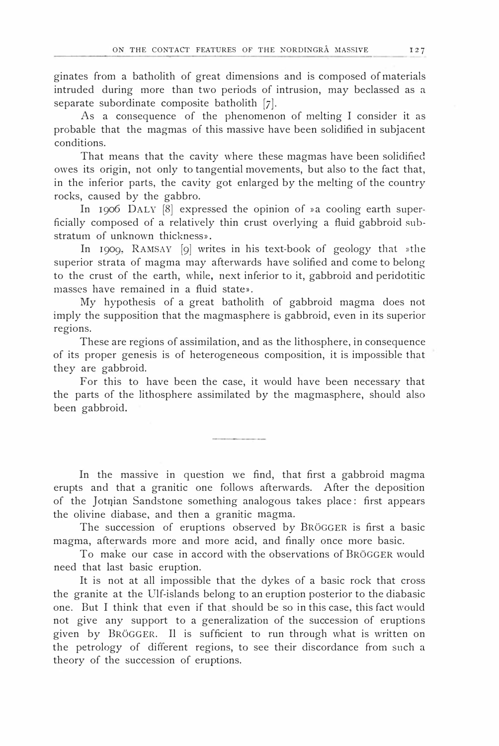ginates from a batholith of great dimensions and is composed of materials intruded during more than two periods of intrusion, may beclassed as <sup>a</sup> separate subordinate composite batholith  $[7]$ .

As a consequence of the phenomenon of melting I consider it as probable that the magmas of this massive have been solidified in subjacent conditions.

That means that the cavity where these magmas have been solidified owes its origin, not only to tangential movements, hut also to the fact that, in the inferior parts, the cavity got enlarged by the melting of the country rocks, eaused by the gabbro.

In 1906 DALY [8] expressed the opinion of »a cooling earth superficially composed of a relatively thin crust overlying a fluid gabbroid substratum of unknown thickness».

In 1909, RAMSAV [9] writes in his text-book of geology that »the superior strata of magma may afterwards have solified and come to belong to the crust of the earth, while, next inferior to it, gabbroid and peridotitic masses have remained in a fluid state».

My hypothesis of a great batholith of gabbroid magma does not imply the supposition that the magmasphere is gabbroid, even in its superior regions.

These are regions of assimilation, and as the lithosphere, in consequence of its proper genesis is of heterogeneous composition, it is impossible that they are gabbroid.

For this to have been the case, it would have been necessary that the parts of the lithosphere assimilated by the magmasphere, should also been gabbroid.

In the massive in question we find, that first a gabbroid magma erupts and that a granitic one follows afterwards. After the deposition of the Jotnian Sandstone something analogous takes place: first appears the olivine diabase, and then a granitic magma.

The succession of eruptions observed by BRöGGER is first a basic magma, afterwards more and more acid, and finally once more basic.

To make our case in accord with the observations of BRöGGER would need that last basic eruption.

It is not at all impossible that the dykes of a basic rock that cross the granite at the Ulf-islands belong to an eruption posterior to the diabasic one. But I think that even if that should be so in this case, this fact would not give any support to a generalization of the succession of eruptions given by BRöGGER. Il is sufficient to run through what is written on the petrology of different regions, to see their discordance from such a theory of the succession of eruptions.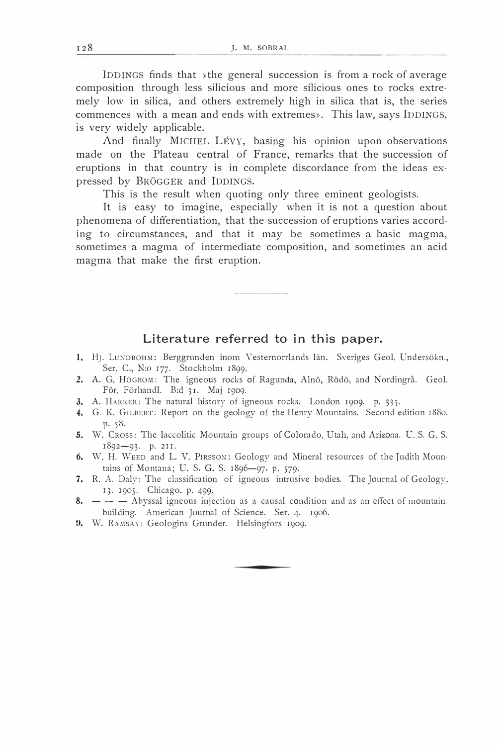IDDINGS finds that »the general succession is from a rock of average composition through less silicious and more silicious ones to rocks extremely low in silica, and others extremely high in silica that is, the series commences with a mean and ends with extremes». This law, says IDDINGS, is very widely applicable.

And finally MICHEL LÉVY, basing his opinion upon observations made on the Plateau central of France, remarks that the succession of eruptions in that country is in complete discordance from the ideas expressed by BRöGGER and lDDINGS.

This is the result when quoting only three eminent geologists.

It is easy to imagine, especially when it is not a question about phenomena of differentiation, that the succession of eruptions varies according to circumstances, and that it may be sometimes a basic magma, sometimes a magma of intermediate composition, and sometimes an acid magma that make the first eruption.

#### Literature referred to in this paper.

- 1. HJ. LUNDBOHM: Berggrunden inom Vesternorrlands län. Sveriges Geol. Undersökn., Ser. C., N:o 177. Stockholm 1899·
- 2. A. G. HöGBO�!: The igneous rocks of Ragunda, Alnö, Rödö, and Nordingrå. Geol. För. Förhand!. B:d 31. Maj 1909.
- 3. A. HARKER: The natural history of igneous rocks. London 1909. p. 335.
- 4. G. K. GILBERT: Report on the geology of the Henry Mountains. Second edition r88o. P· sS.
- 5. W. Cross: The laccolitic Mountain groups of Colorado, Utah, and Arizona. U. S. G. S. 1892-93. p. 211.
- 6. W. H. WEED and L. V. PIRSSON: Geology and Mineral resources of the Judith Mountains of Montana; U. S. G. S. 1896-97· p. 579·
- 7. R. A. Daly: The classification of igneous intrusive bodies. The Journal of Geology. I). 1905. Chicago. p. 499·
- 8.  $\leftarrow$   $\leftarrow$  Abyssal igneous injection as a causal condition and as an effect of mountainbuilding. American Journal of Science. Ser. 4. 1906.
- 9. W. RAMSAY: Geologins Grunder. Helsingfors 1909.